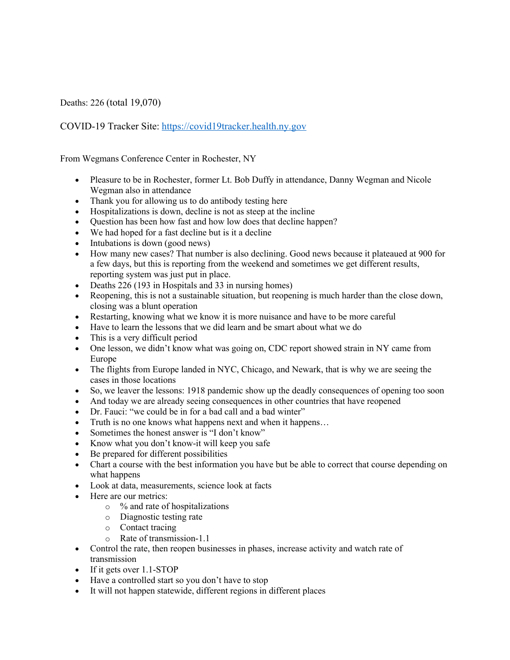Deaths: 226 (total 19,070)

COVID-19 Tracker Site: https://covid19tracker.health.ny.gov

From Wegmans Conference Center in Rochester, NY

- Pleasure to be in Rochester, former Lt. Bob Duffy in attendance, Danny Wegman and Nicole Wegman also in attendance
- Thank you for allowing us to do antibody testing here
- Hospitalizations is down, decline is not as steep at the incline
- Question has been how fast and how low does that decline happen?
- We had hoped for a fast decline but is it a decline
- Intubations is down (good news)
- How many new cases? That number is also declining. Good news because it plateaued at 900 for a few days, but this is reporting from the weekend and sometimes we get different results, reporting system was just put in place.
- Deaths 226 (193 in Hospitals and 33 in nursing homes)
- Reopening, this is not a sustainable situation, but reopening is much harder than the close down, closing was a blunt operation
- Restarting, knowing what we know it is more nuisance and have to be more careful
- Have to learn the lessons that we did learn and be smart about what we do
- This is a very difficult period
- One lesson, we didn't know what was going on, CDC report showed strain in NY came from Europe
- The flights from Europe landed in NYC, Chicago, and Newark, that is why we are seeing the cases in those locations
- So, we leaver the lessons: 1918 pandemic show up the deadly consequences of opening too soon
- And today we are already seeing consequences in other countries that have reopened
- Dr. Fauci: "we could be in for a bad call and a bad winter"
- Truth is no one knows what happens next and when it happens…
- Sometimes the honest answer is "I don't know"
- Know what you don't know-it will keep you safe
- Be prepared for different possibilities
- Chart a course with the best information you have but be able to correct that course depending on what happens
- Look at data, measurements, science look at facts
- Here are our metrics:
	- o % and rate of hospitalizations
	- o Diagnostic testing rate
	- o Contact tracing
	- o Rate of transmission-1.1
- Control the rate, then reopen businesses in phases, increase activity and watch rate of transmission
- If it gets over 1.1-STOP
- Have a controlled start so you don't have to stop
- It will not happen statewide, different regions in different places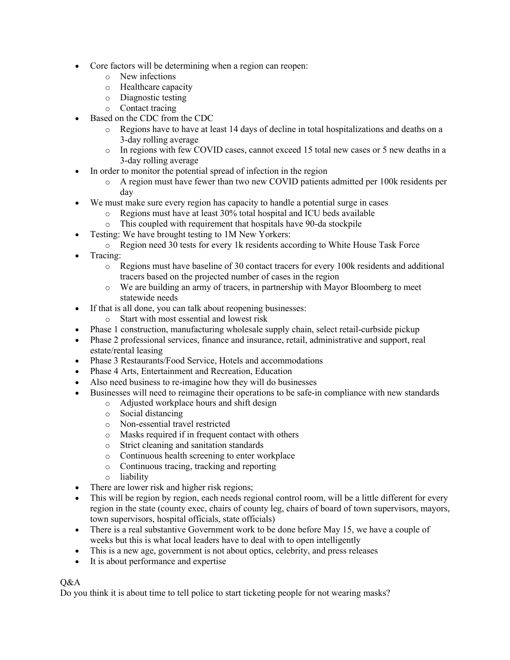- Core factors will be determining when a region can reopen:
	- o New infections
	- o Healthcare capacity
	- o Diagnostic testing
	- o Contact tracing
- Based on the CDC from the CDC
	- o Regions have to have at least 14 days of decline in total hospitalizations and deaths on a 3-day rolling average
	- o In regions with few COVID cases, cannot exceed 15 total new cases or 5 new deaths in a 3-day rolling average
- In order to monitor the potential spread of infection in the region
	- o A region must have fewer than two new COVID patients admitted per 100k residents per day
- We must make sure every region has capacity to handle a potential surge in cases
	- o Regions must have at least 30% total hospital and ICU beds available
	- o This coupled with requirement that hospitals have 90-da stockpile
- Testing: We have brought testing to 1M New Yorkers:
	- $\circ$  Region need 30 tests for every 1k residents according to White House Task Force
- Tracing:
	- o Regions must have baseline of 30 contact tracers for every 100k residents and additional tracers based on the projected number of cases in the region
	- o We are building an army of tracers, in partnership with Mayor Bloomberg to meet statewide needs
- If that is all done, you can talk about reopening businesses:
	- o Start with most essential and lowest risk
- Phase 1 construction, manufacturing wholesale supply chain, select retail-curbside pickup
- Phase 2 professional services, finance and insurance, retail, administrative and support, real estate/rental leasing
- Phase 3 Restaurants/Food Service, Hotels and accommodations
- Phase 4 Arts, Entertainment and Recreation, Education
- Also need business to re-imagine how they will do businesses
- Businesses will need to reimagine their operations to be safe-in compliance with new standards
	- o Adjusted workplace hours and shift design
	- o Social distancing
	- o Non-essential travel restricted
	- o Masks required if in frequent contact with others
	- o Strict cleaning and sanitation standards
	- o Continuous health screening to enter workplace
	- o Continuous tracing, tracking and reporting
	- o liability
- There are lower risk and higher risk regions;
- This will be region by region, each needs regional control room, will be a little different for every region in the state (county exec, chairs of county leg, chairs of board of town supervisors, mayors, town supervisors, hospital officials, state officials)
- There is a real substantive Government work to be done before May 15, we have a couple of weeks but this is what local leaders have to deal with to open intelligently
- This is a new age, government is not about optics, celebrity, and press releases
- It is about performance and expertise

Q&A

Do you think it is about time to tell police to start ticketing people for not wearing masks?